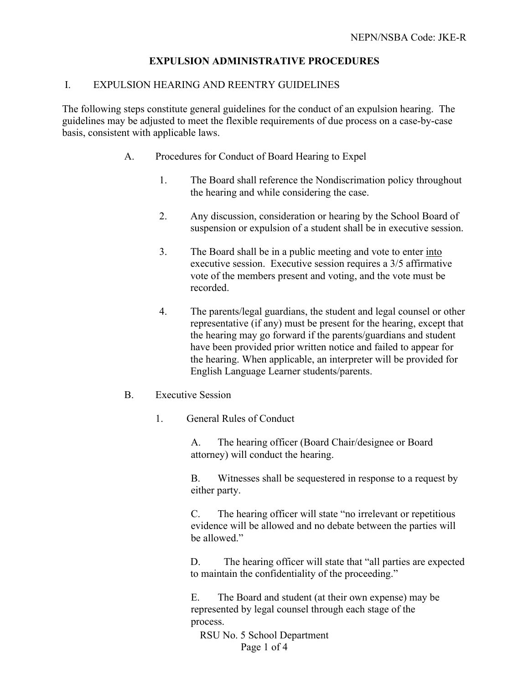# **EXPULSION ADMINISTRATIVE PROCEDURES**

## I. EXPULSION HEARING AND REENTRY GUIDELINES

The following steps constitute general guidelines for the conduct of an expulsion hearing. The guidelines may be adjusted to meet the flexible requirements of due process on a case-by-case basis, consistent with applicable laws.

- A. Procedures for Conduct of Board Hearing to Expel
	- 1. The Board shall reference the Nondiscrimation policy throughout the hearing and while considering the case.
	- 2. Any discussion, consideration or hearing by the School Board of suspension or expulsion of a student shall be in executive session.
	- 3. The Board shall be in a public meeting and vote to enter into executive session. Executive session requires a 3/5 affirmative vote of the members present and voting, and the vote must be recorded.
	- 4. The parents/legal guardians, the student and legal counsel or other representative (if any) must be present for the hearing, except that the hearing may go forward if the parents/guardians and student have been provided prior written notice and failed to appear for the hearing. When applicable, an interpreter will be provided for English Language Learner students/parents.

### B. Executive Session

1. General Rules of Conduct

A. The hearing officer (Board Chair/designee or Board attorney) will conduct the hearing.

B. Witnesses shall be sequestered in response to a request by either party.

C. The hearing officer will state "no irrelevant or repetitious evidence will be allowed and no debate between the parties will be allowed."

D. The hearing officer will state that "all parties are expected to maintain the confidentiality of the proceeding."

E. The Board and student (at their own expense) may be represented by legal counsel through each stage of the process.

RSU No. 5 School Department Page 1 of 4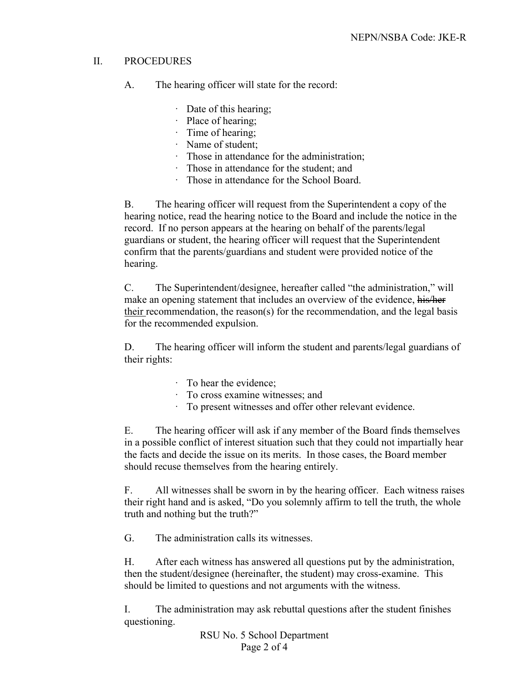## II. PROCEDURES

- A. The hearing officer will state for the record:
	- · Date of this hearing;
	- · Place of hearing;
	- · Time of hearing;
	- · Name of student;
	- · Those in attendance for the administration;
	- · Those in attendance for the student; and
	- Those in attendance for the School Board.

B. The hearing officer will request from the Superintendent a copy of the hearing notice, read the hearing notice to the Board and include the notice in the record. If no person appears at the hearing on behalf of the parents/legal guardians or student, the hearing officer will request that the Superintendent confirm that the parents/guardians and student were provided notice of the hearing.

C. The Superintendent/designee, hereafter called "the administration," will make an opening statement that includes an overview of the evidence, his/her their recommendation, the reason(s) for the recommendation, and the legal basis for the recommended expulsion.

D. The hearing officer will inform the student and parents/legal guardians of their rights:

- · To hear the evidence;
- · To cross examine witnesses; and
- To present witnesses and offer other relevant evidence.

E. The hearing officer will ask if any member of the Board finds themselves in a possible conflict of interest situation such that they could not impartially hear the facts and decide the issue on its merits. In those cases, the Board member should recuse themselves from the hearing entirely.

F. All witnesses shall be sworn in by the hearing officer. Each witness raises their right hand and is asked, "Do you solemnly affirm to tell the truth, the whole truth and nothing but the truth?"

G. The administration calls its witnesses.

H. After each witness has answered all questions put by the administration, then the student/designee (hereinafter, the student) may cross-examine. This should be limited to questions and not arguments with the witness.

I. The administration may ask rebuttal questions after the student finishes questioning.

> RSU No. 5 School Department Page 2 of 4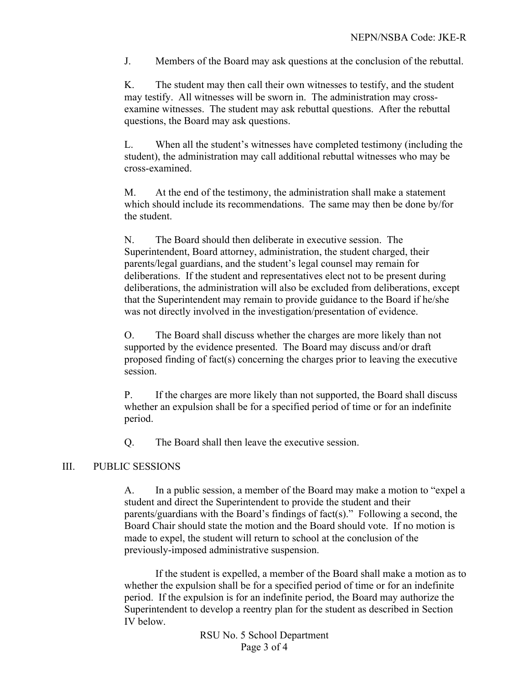J. Members of the Board may ask questions at the conclusion of the rebuttal.

K. The student may then call their own witnesses to testify, and the student may testify. All witnesses will be sworn in. The administration may crossexamine witnesses. The student may ask rebuttal questions. After the rebuttal questions, the Board may ask questions.

L. When all the student's witnesses have completed testimony (including the student), the administration may call additional rebuttal witnesses who may be cross-examined.

M. At the end of the testimony, the administration shall make a statement which should include its recommendations. The same may then be done by/for the student.

N. The Board should then deliberate in executive session. The Superintendent, Board attorney, administration, the student charged, their parents/legal guardians, and the student's legal counsel may remain for deliberations. If the student and representatives elect not to be present during deliberations, the administration will also be excluded from deliberations, except that the Superintendent may remain to provide guidance to the Board if he/she was not directly involved in the investigation/presentation of evidence.

O. The Board shall discuss whether the charges are more likely than not supported by the evidence presented. The Board may discuss and/or draft proposed finding of fact(s) concerning the charges prior to leaving the executive session.

P. If the charges are more likely than not supported, the Board shall discuss whether an expulsion shall be for a specified period of time or for an indefinite period.

Q. The Board shall then leave the executive session.

### III. PUBLIC SESSIONS

A. In a public session, a member of the Board may make a motion to "expel a student and direct the Superintendent to provide the student and their parents/guardians with the Board's findings of fact(s)." Following a second, the Board Chair should state the motion and the Board should vote. If no motion is made to expel, the student will return to school at the conclusion of the previously-imposed administrative suspension.

 If the student is expelled, a member of the Board shall make a motion as to whether the expulsion shall be for a specified period of time or for an indefinite period. If the expulsion is for an indefinite period, the Board may authorize the Superintendent to develop a reentry plan for the student as described in Section IV below.

> RSU No. 5 School Department Page 3 of 4